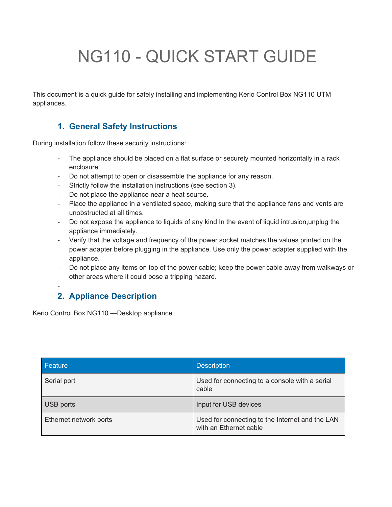# NG110 - QUICK START GUIDE

This document is a quick guide for safely installing and implementing Kerio Control Box NG110 UTM appliances.

## **1. General Safety Instructions**

During installation follow these security instructions:

- The appliance should be placed on a flat surface or securely mounted horizontally in a rack enclosure.
- Do not attempt to open or disassemble the appliance for any reason.
- Strictly follow the installation instructions (see section 3).
- Do not place the appliance near a heat source.
- Place the appliance in a ventilated space, making sure that the appliance fans and vents are unobstructed at all times.
- Do not expose the appliance to liquids of any kind.In the event of liquid intrusion,unplug the appliance immediately.
- Verify that the voltage and frequency of the power socket matches the values printed on the power adapter before plugging in the appliance. Use only the power adapter supplied with the appliance.
- Do not place any items on top of the power cable; keep the power cable away from walkways or other areas where it could pose a tripping hazard.

## **2. Appliance Description**

Kerio Control Box NG110 —Desktop appliance

-

| Feature                | <b>Description</b>                                                        |
|------------------------|---------------------------------------------------------------------------|
| Serial port            | Used for connecting to a console with a serial<br>cable                   |
| USB ports              | Input for USB devices                                                     |
| Ethernet network ports | Used for connecting to the Internet and the LAN<br>with an Ethernet cable |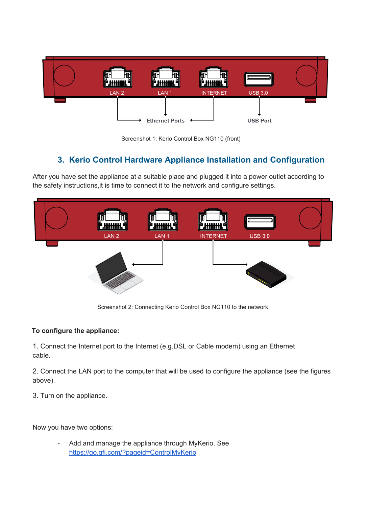

Screenshot 1: Kerio Control Box NG110 (front)

# **3. Kerio Control Hardware Appliance Installation and Configuration**

After you have set the appliance at a suitable place and plugged it into a power outlet according to the safety instructions,it is time to connect it to the network and configure settings.



Screenshot 2: Connecting Kerio Control Box NG110 to the network

## **To configure the appliance:**

1. Connect the Internet port to the Internet (e.g.DSL or Cable modem) using an Ethernet cable.

2. Connect the LAN port to the computer that will be used to configure the appliance (see the figures above).

3. Turn on the appliance.

Now you have two options:

Add and manage the appliance through MyKerio. See https://go.gfi.com/?pageid=ControlMyKerio.